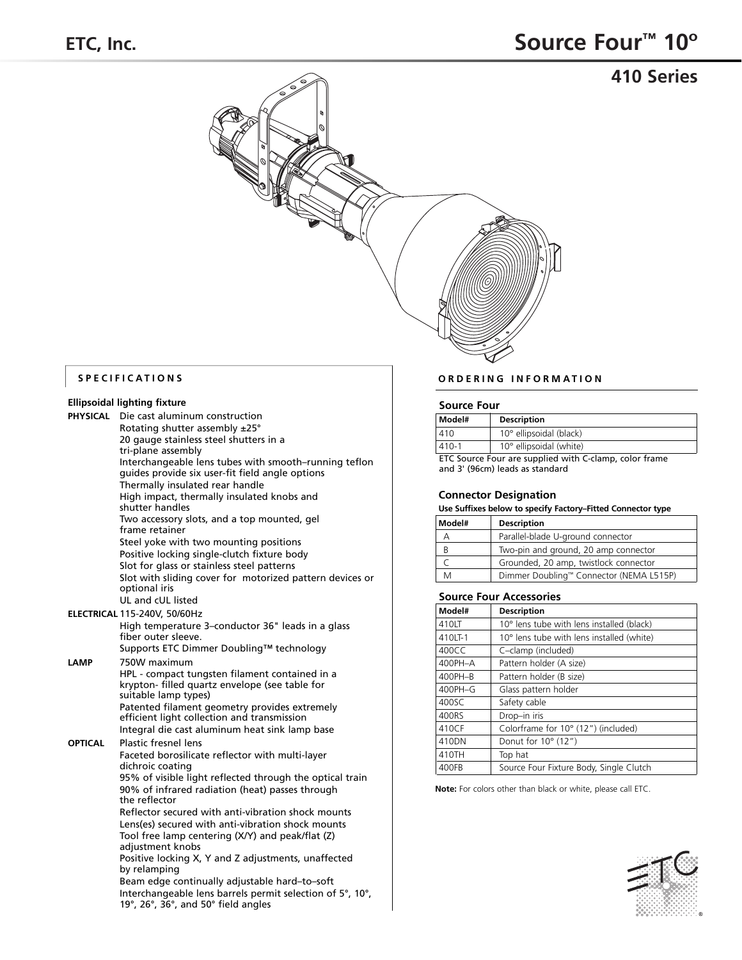**410 Series**



|          | Ellipsoidal lighting fixture |
|----------|------------------------------|
| PHYSICAL | Die cast aluminur            |

| PHYSICAL | Die cast aluminum construction                                                                           |  |  |
|----------|----------------------------------------------------------------------------------------------------------|--|--|
|          | Rotating shutter assembly ±25°                                                                           |  |  |
|          | 20 gauge stainless steel shutters in a                                                                   |  |  |
|          | tri-plane assembly                                                                                       |  |  |
|          | Interchangeable lens tubes with smooth-running teflon<br>guides provide six user-fit field angle options |  |  |
|          | Thermally insulated rear handle                                                                          |  |  |
|          | High impact, thermally insulated knobs and                                                               |  |  |
|          | shutter handles                                                                                          |  |  |
|          | Two accessory slots, and a top mounted, gel<br>frame retainer                                            |  |  |
|          | Steel yoke with two mounting positions                                                                   |  |  |
|          | Positive locking single-clutch fixture body                                                              |  |  |
|          | Slot for glass or stainless steel patterns                                                               |  |  |
|          | Slot with sliding cover for motorized pattern devices or<br>optional iris                                |  |  |
|          | UL and cUL listed                                                                                        |  |  |
|          | ELECTRICAL 115-240V, 50/60Hz                                                                             |  |  |
|          | High temperature 3-conductor 36" leads in a glass<br>fiber outer sleeve.                                 |  |  |
|          | Supports ETC Dimmer Doubling™ technology                                                                 |  |  |
| LAMP     | 750W maximum                                                                                             |  |  |
|          | HPL - compact tungsten filament contained in a                                                           |  |  |
|          | krypton- filled quartz envelope (see table for<br>suitable lamp types)                                   |  |  |
|          | Patented filament geometry provides extremely                                                            |  |  |
|          | efficient light collection and transmission                                                              |  |  |
|          | Integral die cast aluminum heat sink lamp base                                                           |  |  |
| OPTICAL  | <b>Plastic fresnel lens</b>                                                                              |  |  |
|          | Faceted borosilicate reflector with multi-layer                                                          |  |  |
|          | dichroic coating                                                                                         |  |  |
|          | 95% of visible light reflected through the optical train                                                 |  |  |
|          | 90% of infrared radiation (heat) passes through<br>the reflector                                         |  |  |
|          |                                                                                                          |  |  |
|          | Reflector secured with anti-vibration shock mounts<br>Lens(es) secured with anti-vibration shock mounts  |  |  |
|          | Tool free lamp centering (X/Y) and peak/flat (Z)                                                         |  |  |
|          | adjustment knobs                                                                                         |  |  |
|          | Positive locking X, Y and Z adjustments, unaffected<br>by relamping                                      |  |  |
|          | Beam edge continually adjustable hard-to-soft                                                            |  |  |
|          | Interchangeable lens barrels permit selection of 5°, 10°,                                                |  |  |
|          | 19 $\degree$ , 26 $\degree$ , 36 $\degree$ , and 50 $\degree$ field angles                               |  |  |

## **SPECIFICATIONS ORDERING INFORMATION**

### **Source Four**

| Model#                                                 | <b>Description</b>      |  |
|--------------------------------------------------------|-------------------------|--|
| 410                                                    | 10° ellipsoidal (black) |  |
| $410 - 1$                                              | 10° ellipsoidal (white) |  |
| ETC Source Four are supplied with C-clamp, color frame |                         |  |

and 3' (96cm) leads as standard

### **Connector Designation**

### **Use Suffixes below to specify Factory–Fitted Connector type**

| Model# | <b>Description</b>                      |
|--------|-----------------------------------------|
| А      | Parallel-blade U-ground connector       |
| B      | Two-pin and ground, 20 amp connector    |
|        | Grounded, 20 amp, twistlock connector   |
| M      | Dimmer Doubling™ Connector (NEMA L515P) |

### **Source Four Accessories**

| Model#  | <b>Description</b>                        |
|---------|-------------------------------------------|
| 410LT   | 10° lens tube with lens installed (black) |
| 410LT-1 | 10° lens tube with lens installed (white) |
| 400CC   | C-clamp (included)                        |
| 400PH-A | Pattern holder (A size)                   |
| 400PH-B | Pattern holder (B size)                   |
| 400PH-G | Glass pattern holder                      |
| 400SC   | Safety cable                              |
| 400RS   | Drop-in iris                              |
| 410CF   | Colorframe for 10° (12") (included)       |
| 410DN   | Donut for $10^{\circ}$ (12")              |
| 410TH   | Top hat                                   |
| 400FB   | Source Four Fixture Body, Single Clutch   |

**Note:** For colors other than black or white, please call ETC.